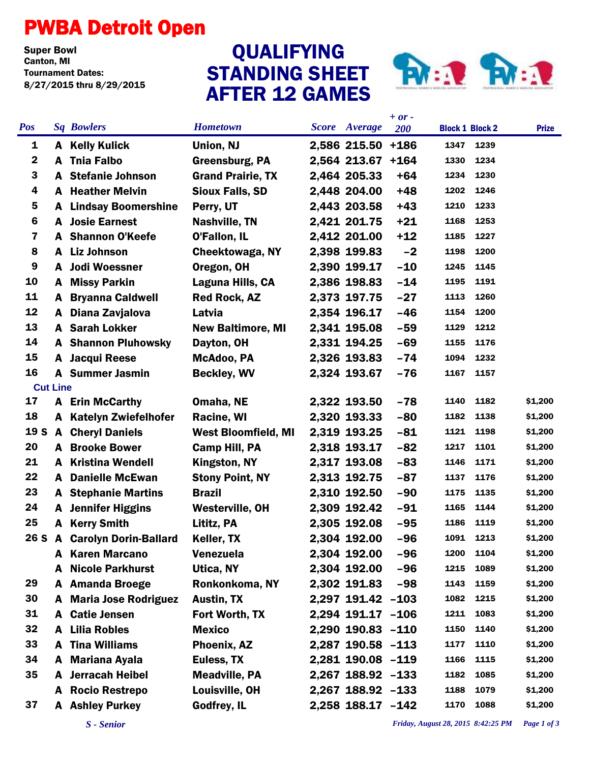## PWBA Detroit Open

**Super Bowl<br>Canton, MI** Tournament Dates: 8/27/2015 thru 8/29/2015

## STANDING SHEET AFTER 12 GAMES QUALIFYING



|                         |              |                               |                            |  |                      | $+ or -$ |                        |      |              |
|-------------------------|--------------|-------------------------------|----------------------------|--|----------------------|----------|------------------------|------|--------------|
| <b>Pos</b>              |              | <b>Sq Bowlers</b>             | <b>Hometown</b>            |  | <b>Score</b> Average | 200      | <b>Block 1 Block 2</b> |      | <b>Prize</b> |
| 1                       |              | <b>A</b> Kelly Kulick         | Union, NJ                  |  | 2,586 215.50         | $+186$   | 1347                   | 1239 |              |
| $\mathbf 2$             | A            | <b>Tnia Falbo</b>             | <b>Greensburg, PA</b>      |  | 2,564 213.67         | $+164$   | 1330                   | 1234 |              |
| 3                       | A            | <b>Stefanie Johnson</b>       | <b>Grand Prairie, TX</b>   |  | 2,464 205.33         | $+64$    | 1234                   | 1230 |              |
| 4                       | A            | <b>Heather Melvin</b>         | <b>Sioux Falls, SD</b>     |  | 2,448 204.00         | $+48$    | 1202                   | 1246 |              |
| 5                       | A            | <b>Lindsay Boomershine</b>    | Perry, UT                  |  | 2,443 203.58         | $+43$    | 1210                   | 1233 |              |
| $6\phantom{1}6$         | A            | <b>Josie Earnest</b>          | <b>Nashville, TN</b>       |  | 2,421 201.75         | $+21$    | 1168                   | 1253 |              |
| $\overline{\mathbf{7}}$ |              | <b>A</b> Shannon O'Keefe      | O'Fallon, IL               |  | 2,412 201.00         | $+12$    | 1185                   | 1227 |              |
| 8                       | A            | <b>Liz Johnson</b>            | Cheektowaga, NY            |  | 2,398 199.83         | $-2$     | 1198                   | 1200 |              |
| 9                       | A            | <b>Jodi Woessner</b>          | Oregon, OH                 |  | 2,390 199.17         | $-10$    | 1245                   | 1145 |              |
| 10                      | A            | <b>Missy Parkin</b>           | Laguna Hills, CA           |  | 2,386 198.83         | $-14$    | 1195                   | 1191 |              |
| 11                      | A            | <b>Bryanna Caldwell</b>       | <b>Red Rock, AZ</b>        |  | 2,373 197.75         | $-27$    | 1113                   | 1260 |              |
| 12                      | A            | Diana Zavjalova               | Latvia                     |  | 2,354 196.17         | $-46$    | 1154                   | 1200 |              |
| 13                      |              | <b>A</b> Sarah Lokker         | <b>New Baltimore, MI</b>   |  | 2,341 195.08         | $-59$    | 1129                   | 1212 |              |
| 14                      |              | <b>A</b> Shannon Pluhowsky    | Dayton, OH                 |  | 2,331 194.25         | $-69$    | 1155                   | 1176 |              |
| 15                      |              | A Jacqui Reese                | McAdoo, PA                 |  | 2,326 193.83         | $-74$    | 1094                   | 1232 |              |
| 16                      |              | <b>A</b> Summer Jasmin        | <b>Beckley, WV</b>         |  | 2,324 193.67         | $-76$    | 1167                   | 1157 |              |
| <b>Cut Line</b>         |              |                               |                            |  |                      |          |                        |      |              |
| 17                      |              | <b>A</b> Erin McCarthy        | Omaha, NE                  |  | 2,322 193.50         | $-78$    | 1140                   | 1182 | \$1,200      |
| 18                      |              | A Katelyn Zwiefelhofer        | Racine, WI                 |  | 2,320 193.33         | $-80$    | 1182                   | 1138 | \$1,200      |
| 19 S                    |              | <b>A</b> Cheryl Daniels       | <b>West Bloomfield, MI</b> |  | 2,319 193.25         | $-81$    | 1121                   | 1198 | \$1,200      |
| 20                      | A            | <b>Brooke Bower</b>           | Camp Hill, PA              |  | 2,318 193.17         | $-82$    | 1217                   | 1101 | \$1,200      |
| 21                      | A            | <b>Kristina Wendell</b>       | Kingston, NY               |  | 2,317 193.08         | $-83$    | 1146                   | 1171 | \$1,200      |
| 22                      | A            | <b>Danielle McEwan</b>        | <b>Stony Point, NY</b>     |  | 2,313 192.75         | $-87$    | 1137                   | 1176 | \$1,200      |
| 23                      | A            | <b>Stephanie Martins</b>      | <b>Brazil</b>              |  | 2,310 192.50         | $-90$    | 1175                   | 1135 | \$1,200      |
| 24                      | A            | <b>Jennifer Higgins</b>       | <b>Westerville, OH</b>     |  | 2,309 192.42         | $-91$    | 1165                   | 1144 | \$1,200      |
| 25                      | A            | <b>Kerry Smith</b>            | Lititz, PA                 |  | 2,305 192.08         | $-95$    | 1186                   | 1119 | \$1,200      |
| 26 S                    | $\mathbf{A}$ | <b>Carolyn Dorin-Ballard</b>  | Keller, TX                 |  | 2,304 192.00         | $-96$    | 1091                   | 1213 | \$1,200      |
|                         | A            | <b>Karen Marcano</b>          | <b>Venezuela</b>           |  | 2,304 192.00         | $-96$    | 1200                   | 1104 | \$1,200      |
|                         | A            | <b>Nicole Parkhurst</b>       | Utica, NY                  |  | 2,304 192.00         | $-96$    | 1215                   | 1089 | \$1,200      |
| 29                      | A            | <b>Amanda Broege</b>          | Ronkonkoma, NY             |  | 2,302 191.83         | $-98$    | 1143                   | 1159 | \$1,200      |
| 30                      |              | <b>A</b> Maria Jose Rodriguez | <b>Austin, TX</b>          |  | 2,297 191.42 -103    |          | 1082                   | 1215 | \$1,200      |
| 31                      | A            | <b>Catie Jensen</b>           | Fort Worth, TX             |  | 2,294 191.17 -106    |          | 1211                   | 1083 | \$1,200      |
| 32                      | A            | <b>Lilia Robles</b>           | <b>Mexico</b>              |  | 2,290 190.83 -110    |          | 1150                   | 1140 | \$1,200      |
| 33                      | A            | <b>Tina Williams</b>          | Phoenix, AZ                |  | 2,287 190.58 -113    |          | 1177                   | 1110 | \$1,200      |
| 34                      | A            | <b>Mariana Ayala</b>          | Euless, TX                 |  | 2,281 190.08 -119    |          | 1166                   | 1115 | \$1,200      |
| 35                      | A            | <b>Jerracah Heibel</b>        | <b>Meadville, PA</b>       |  | 2,267 188.92 -133    |          | 1182                   | 1085 | \$1,200      |
|                         | A            | <b>Rocio Restrepo</b>         | Louisville, OH             |  | 2,267 188.92 -133    |          | 1188                   | 1079 | \$1,200      |
| 37                      |              | <b>A</b> Ashley Purkey        | Godfrey, IL                |  | 2,258 188.17 -142    |          | 1170                   | 1088 | \$1,200      |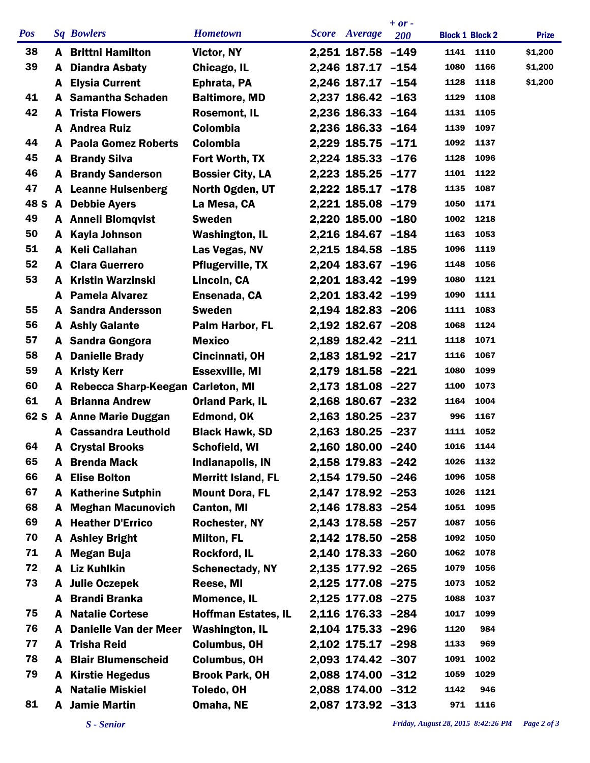|            |   |                                   |                            |                   | $+ or -$   |                        |           |              |
|------------|---|-----------------------------------|----------------------------|-------------------|------------|------------------------|-----------|--------------|
| <b>Pos</b> |   | <b>Sq Bowlers</b>                 | <b>Hometown</b>            | Score Average     | <b>200</b> | <b>Block 1 Block 2</b> |           | <b>Prize</b> |
| 38         |   | <b>A</b> Brittni Hamilton         | Victor, NY                 | 2,251 187.58 -149 |            |                        | 1141 1110 | \$1,200      |
| 39         | A | <b>Diandra Asbaty</b>             | Chicago, IL                | 2,246 187.17 -154 |            | 1080                   | 1166      | \$1,200      |
|            |   | <b>A</b> Elysia Current           | Ephrata, PA                | 2,246 187.17 -154 |            | 1128                   | 1118      | \$1,200      |
| 41         |   | A Samantha Schaden                | <b>Baltimore, MD</b>       | 2,237 186.42 -163 |            | 1129                   | 1108      |              |
| 42         | A | <b>Trista Flowers</b>             | <b>Rosemont, IL</b>        | 2,236 186.33 -164 |            | 1131                   | 1105      |              |
|            |   | <b>A</b> Andrea Ruiz              | Colombia                   | 2,236 186.33 -164 |            | 1139                   | 1097      |              |
| 44         | A | <b>Paola Gomez Roberts</b>        | <b>Colombia</b>            | 2,229 185.75 -171 |            | 1092                   | 1137      |              |
| 45         |   | <b>A</b> Brandy Silva             | Fort Worth, TX             | 2,224 185.33 -176 |            | 1128                   | 1096      |              |
| 46         |   | <b>A</b> Brandy Sanderson         | <b>Bossier City, LA</b>    | 2,223 185.25 -177 |            | 1101                   | 1122      |              |
| 47         |   | <b>A</b> Leanne Hulsenberg        | North Ogden, UT            | 2,222 185.17 -178 |            | 1135                   | 1087      |              |
| 48 S       |   | A Debbie Ayers                    | La Mesa, CA                | 2,221 185.08 -179 |            | 1050                   | 1171      |              |
| 49         |   | <b>A</b> Anneli Blomqvist         | <b>Sweden</b>              | 2,220 185.00 -180 |            | 1002                   | 1218      |              |
| 50         |   | A Kayla Johnson                   | <b>Washington, IL</b>      | 2,216 184.67 -184 |            | 1163                   | 1053      |              |
| 51         |   | A Keli Callahan                   | Las Vegas, NV              | 2,215 184.58 -185 |            | 1096                   | 1119      |              |
| 52         | A | <b>Clara Guerrero</b>             | <b>Pflugerville, TX</b>    | 2,204 183.67 -196 |            | 1148                   | 1056      |              |
| 53         | A | <b>Kristin Warzinski</b>          | Lincoln, CA                | 2,201 183.42 -199 |            | 1080                   | 1121      |              |
|            | A | <b>Pamela Alvarez</b>             | Ensenada, CA               | 2,201 183.42 -199 |            | 1090                   | 1111      |              |
| 55         |   | <b>A</b> Sandra Andersson         | <b>Sweden</b>              | 2,194 182.83 -206 |            | 1111                   | 1083      |              |
| 56         |   | <b>A</b> Ashly Galante            | Palm Harbor, FL            | 2,192 182.67 -208 |            | 1068                   | 1124      |              |
| 57         |   | A Sandra Gongora                  | <b>Mexico</b>              | 2,189 182.42 -211 |            | 1118                   | 1071      |              |
| 58         | A | <b>Danielle Brady</b>             | Cincinnati, OH             | 2,183 181.92 -217 |            | 1116                   | 1067      |              |
| 59         | A | <b>Kristy Kerr</b>                | <b>Essexville, MI</b>      | 2,179 181.58 -221 |            | 1080                   | 1099      |              |
| 60         | A | Rebecca Sharp-Keegan Carleton, MI |                            | 2,173 181.08 -227 |            | 1100                   | 1073      |              |
| 61         |   | <b>A</b> Brianna Andrew           | <b>Orland Park, IL</b>     | 2,168 180.67 -232 |            | 1164                   | 1004      |              |
| 62 S       |   | <b>A</b> Anne Marie Duggan        | <b>Edmond, OK</b>          | 2,163 180.25 -237 |            | 996                    | 1167      |              |
|            |   | <b>A</b> Cassandra Leuthold       | <b>Black Hawk, SD</b>      | 2,163 180.25 -237 |            | 1111                   | 1052      |              |
| 64         | A | <b>Crystal Brooks</b>             | Schofield, WI              | 2,160 180.00 -240 |            | 1016                   | 1144      |              |
| 65         |   | <b>A</b> Brenda Mack              | Indianapolis, IN           | 2,158 179.83 -242 |            | 1026                   | 1132      |              |
| 66         |   | <b>A</b> Elise Bolton             | <b>Merritt Island, FL</b>  | 2,154 179.50 -246 |            | 1096                   | 1058      |              |
| 67         |   | <b>A</b> Katherine Sutphin        | <b>Mount Dora, FL</b>      | 2,147 178.92 -253 |            | 1026                   | 1121      |              |
| 68         |   | <b>A</b> Meghan Macunovich        | <b>Canton, MI</b>          | 2,146 178.83 -254 |            | 1051                   | 1095      |              |
| 69         |   | <b>A</b> Heather D'Errico         | <b>Rochester, NY</b>       | 2,143 178.58 -257 |            | 1087                   | 1056      |              |
| 70         |   | A Ashley Bright                   | <b>Milton, FL</b>          | 2,142 178.50 -258 |            | 1092                   | 1050      |              |
| 71         |   | A Megan Buja                      | <b>Rockford, IL</b>        | 2,140 178.33 -260 |            | 1062                   | 1078      |              |
| 72         |   | A Liz Kuhlkin                     | <b>Schenectady, NY</b>     | 2,135 177.92 -265 |            | 1079                   | 1056      |              |
| 73         |   | A Julie Oczepek                   | Reese, MI                  | 2,125 177.08 -275 |            | 1073                   | 1052      |              |
|            |   | A Brandi Branka                   | <b>Momence, IL</b>         | 2,125 177.08 -275 |            | 1088                   | 1037      |              |
| 75         |   | <b>A</b> Natalie Cortese          | <b>Hoffman Estates, IL</b> | 2,116 176.33 -284 |            | 1017                   | 1099      |              |
| 76         |   | A Danielle Van der Meer           | <b>Washington, IL</b>      | 2,104 175.33 -296 |            | 1120                   | 984       |              |
| 77         |   | <b>A</b> Trisha Reid              | <b>Columbus, OH</b>        | 2,102 175.17 -298 |            | 1133                   | 969       |              |
| 78         | A | <b>Blair Blumenscheid</b>         | <b>Columbus, OH</b>        | 2,093 174.42 -307 |            | 1091                   | 1002      |              |
| 79         |   | A Kirstie Hegedus                 | <b>Brook Park, OH</b>      | 2,088 174.00 -312 |            | 1059                   | 1029      |              |
|            |   | <b>A</b> Natalie Miskiel          | Toledo, OH                 | 2,088 174.00 -312 |            | 1142                   | 946       |              |
| 81         | A | <b>Jamie Martin</b>               | Omaha, NE                  | 2,087 173.92 -313 |            |                        | 971 1116  |              |
|            |   |                                   |                            |                   |            |                        |           |              |